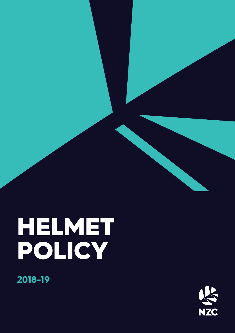# HELMET POLICY

**2018-19**

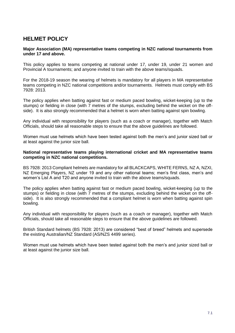# **HELMET POLICY**

#### **Major Association (MA) representative teams competing in NZC national tournaments from under 17 and above.**

This policy applies to teams competing at national under 17, under 19, under 21 women and Provincial A tournaments; and anyone invited to train with the above teams/squads.

For the 2018-19 season the wearing of helmets is mandatory for all players in MA representative teams competing in NZC national competitions and/or tournaments. Helmets must comply with BS 7928: 2013.

The policy applies when batting against fast or medium paced bowling, wicket-keeping (up to the stumps) or fielding in close (with 7 metres of the stumps, excluding behind the wicket on the offside). It is also strongly recommended that a helmet is worn when batting against spin bowling.

Any individual with responsibility for players (such as a coach or manager), together with Match Officials, should take all reasonable steps to ensure that the above guidelines are followed.

Women must use helmets which have been tested against both the men's and junior sized ball or at least against the junior size ball.

#### **National representative teams playing international cricket and MA representative teams competing in NZC national competitions.**

BS 7928: 2013 Compliant helmets are mandatory for all BLACKCAPS, WHITE FERNS, NZ A, NZXI, NZ Emerging Players, NZ under 19 and any other national teams; men's first class, men's and women's List A and T20 and anyone invited to train with the above teams/squads.

The policy applies when batting against fast or medium paced bowling, wicket-keeping (up to the stumps) or fielding in close (with 7 metres of the stumps, excluding behind the wicket on the offside). It is also strongly recommended that a compliant helmet is worn when batting against spin bowling.

Any individual with responsibility for players (such as a coach or manager), together with Match Officials, should take all reasonable steps to ensure that the above guidelines are followed.

British Standard helmets (BS 7928: 2013) are considered "best of breed" helmets and supersede the existing Australian/NZ Standard (AS/NZS 4499 series).

Women must use helmets which have been tested against both the men's and junior sized ball or at least against the junior size ball.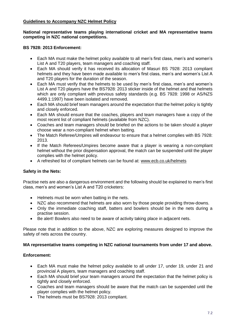### **Guidelines to Accompany NZC Helmet Policy**

#### **National representative teams playing international cricket and MA representative teams competing in NZC national competitions.**

#### **BS 7928: 2013 Enforcement:**

- Each MA must make the helmet policy available to all men's first class, men's and women's List A and T20 players, team managers and coaching staff.
- Each MA should verify it has received its allocation of Masuri BS 7928: 2013 compliant helmets and they have been made available to men's first class, men's and women's List A and T20 players for the duration of the season.
- Each MA must verify that the helmets to be used by men's first class, men's and women's List A and T20 players have the BS7928: 2013 sticker inside of the helmet and that helmets which are only compliant with previous safety standards (e.g. BS 7928: 1998 or AS/NZS 4499.1:1997) have been isolated and removed.
- Each MA should brief team managers around the expectation that the helmet policy is tightly and closely enforced.
- Each MA should ensure that the coaches, players and team managers have a copy of the most recent list of compliant helmets (available from NZC).
- Coaches and team managers should be briefed on the actions to be taken should a player choose wear a non-compliant helmet when batting.
- The Match Referee/Umpires will endeavour to ensure that a helmet complies with BS 7928: 2013.
- If the Match Referees/Umpires become aware that a player is wearing a non-compliant helmet without the prior dispensation approval, the match can be suspended until the player complies with the helmet policy.
- A refreshed list of compliant helmets can be found at: [www.ecb.co.uk/helmets](http://www.ecb.co.uk/helmets)

## **Safety in the Nets:**

Practise nets are also a dangerous environment and the following should be explained to men's first class, men's and women's List A and T20 cricketers:

- Helmets must be worn when batting in the nets.
- NZC also recommend that helmets are also worn by those people providing throw-downs.
- Only the immediate coaching staff, batters and bowlers should be in the nets during a practise session.
- Be alert! Bowlers also need to be aware of activity taking place in adjacent nets.

Please note that in addition to the above, NZC are exploring measures designed to improve the safety of nets across the country.

#### **MA representative teams competing in NZC national tournaments from under 17 and above.**

#### **Enforcement:**

- Each MA must make the helmet policy available to all under 17, under 19, under 21 and provincial A players, team managers and coaching staff.
- Each MA should brief your team managers around the expectation that the helmet policy is tightly and closely enforced.
- Coaches and team managers should be aware that the match can be suspended until the player complies with the helmet policy.
- The helmets must be BS7928: 2013 compliant.